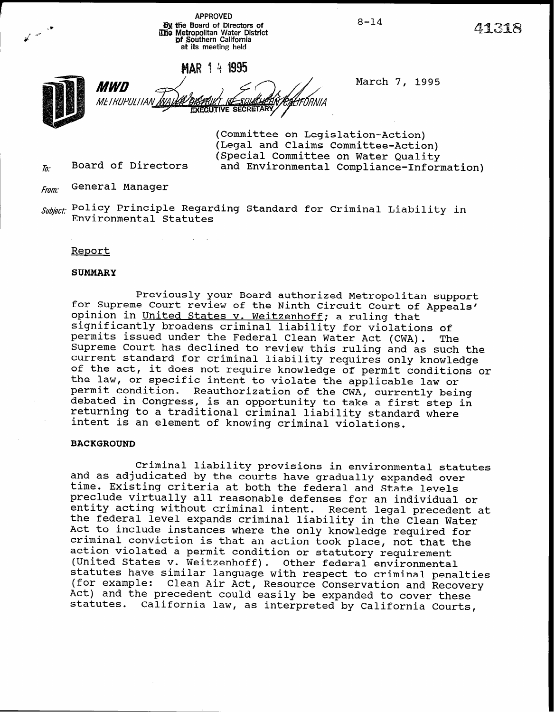APPROVED **B9** the Board of Directors of  $8-14$   $8-14$   $9-14$   $12i$ at its meeting held

**EXECUTIVE SECRETARY** 

MWD **METROPOLITAN** 

 $\epsilon$ 

March 7, 1995

(Committee on Legislation-Action) (Legal and Claims Committee-Action) (Special Committee on Water Quality  $\bar{h}$  Board of Directors and Environmental Compliance-Information)

ETIRNI A

Board of Directors

From: General Manager

Subject: Policy Principle Regarding Standard for Criminal Liability in Environmental Statutes

Report

### SUMMARY

Previously your Board authorized Metropolitan support for Supreme Court review of the Ninth Circuit Court of Appeals' opinion in United States v. Weitzenhoff; a ruling that significantly broadens criminal liability for violations of permits issued under the Federal Clean Water Act (CWA). The Supreme Court has declined to review this ruling and as such the current standard for criminal liability requires only knowledge of the act, it does not require knowledge of permit conditions or the law, or specific intent to violate the applicable law or permit condition. Reauthorization of the CWA, currently being debated in Congress, is an opportunity to take a first step in returning to a traditional criminal liability standard where intent is an element of knowing criminal violations.

### BACKGROUND

Criminal liability provisions in environmental statutes and as adjudicated by the courts have gradually expanded over time. Existing criteria at both the federal and State levels preclude virtually all reasonable defenses for an individual or entity acting without criminal intent. Recent legal precedent at the federal level expands criminal liability in the Clean Water Act to include instances where the only knowledge required for criminal conviction is that an action took place, not that the action violated a permit condition or statutory requirement (United States v. Weitzenhoff). Other federal environmental statutes have similar language with respect to criminal penalties (for example: Clean Air Act, Resource Conservation and Recovery Act) and the precedent could easily be expanded to cover these statutes. California law, as interpreted by California Courts,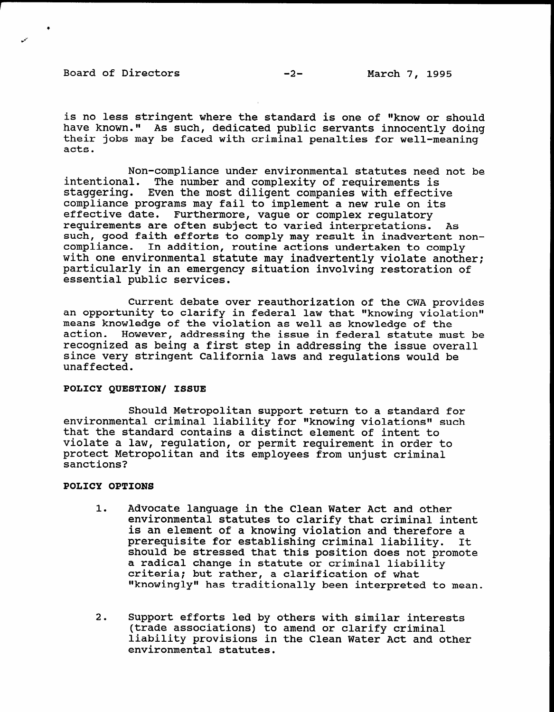Board of Directors -2- March 7, 1995

is no less stringent where the standard is one of "know or should have known." As such, dedicated public servants innocently doing their jobs may be faced with criminal penalties for well-meaning acts.

Non-compliance under environmental statutes need not be intentional. The number and complexity of requirements is staggering. Even the most diligent companies with effective compliance programs may fail to implement a new rule on its effective date. Furthermore, vague or complex regulatory requirements are often subject to varied interpretations. As such, good faith efforts to comply may result in inadvertent noncompliance. In addition, routine actions undertaken to comply with one environmental statute may inadvertently violate another; particularly in an emergency situation involving restoration of essential public services.

Current debate over reauthorization of the CWA provides current uebate over reauthorization of the two provisor. means knowledge of the wiolation as well as knowledge of the means knowledge of the violation as well as knowledge of the<br>action. However, addressing the issue in federal statute must be action. However, addressing the issue in federal statute must since very stringent California laws and regulations would be since very stringent California laws and regulations would be unaffected.

## POLICY QUESTION/ ISSUE

 $S_{\text{S}}$  support to a standard formulation to a standard formulation to a standard formulation to a standard formulation  $S_{\text{S}}$ environmental metropolitan support return to a standard for environmental criminal fiability for "knowing violations"<br>that the wheel is intent to intent to intent the second to intent the second to intent the second to intent th that the standard contains a distinct element of intent to violate a law, requlation, or permit requirement in order to protect Metropolitan and its employees from unjust criminal sanctions?

# POLICY OPTIONS

- 1. Advocate language in the Clean Water Act and other Advocate language in the Clean Water Act and other environmental statutes to clarify that criminal intent is an element of a knowing violation and therefore a<br>prerequisite for establishing criminal liability. It prerequisite for establishing criminal liability. should be stressed that this position does not promote a radical change in statute or criminal liability criteria; but rather, a clarification of what<br>"knowingly" has traditionally been interpreted to mean.
- Support efforts led by others with similar interests (trade associations) to amend or clarify criminal liability provisions in the Clean Water Act and other environmental statutes.